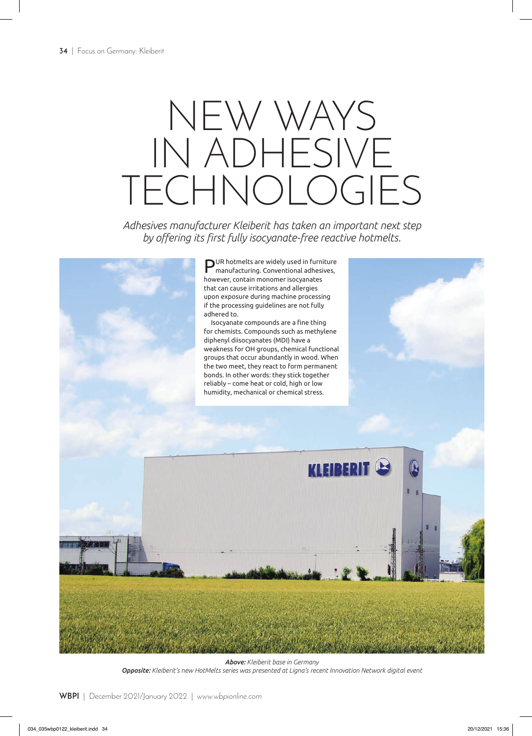## NEW WAYS IN ADHESIVE TECHNOLOGIES

*Adhesives manufacturer Kleiberit has taken an important next step by offering its first fully isocyanate-free reactive hotmelts.*



*Above: Kleiberit base in Germany Opposite: Kleiberit's new HotMelts series was presented at Ligna's recent Innovation Network digital event*